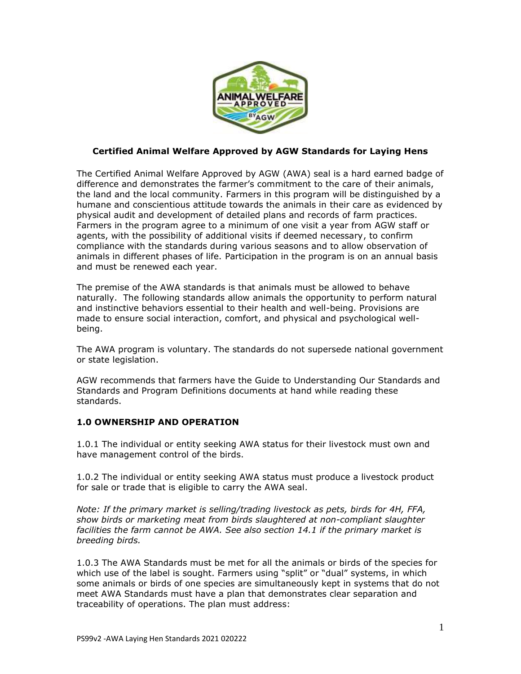

## **Certified Animal Welfare Approved by AGW Standards for Laying Hens**

The Certified Animal Welfare Approved by AGW (AWA) seal is a hard earned badge of difference and demonstrates the farmer's commitment to the care of their animals, the land and the local community. Farmers in this program will be distinguished by a humane and conscientious attitude towards the animals in their care as evidenced by physical audit and development of detailed plans and records of farm practices. Farmers in the program agree to a minimum of one visit a year from AGW staff or agents, with the possibility of additional visits if deemed necessary, to confirm compliance with the standards during various seasons and to allow observation of animals in different phases of life. Participation in the program is on an annual basis and must be renewed each year.

The premise of the AWA standards is that animals must be allowed to behave naturally. The following standards allow animals the opportunity to perform natural and instinctive behaviors essential to their health and well-being. Provisions are made to ensure social interaction, comfort, and physical and psychological wellbeing.

The AWA program is voluntary. The standards do not supersede national government or state legislation.

AGW recommends that farmers have the Guide to Understanding Our Standards and Standards and Program Definitions documents at hand while reading these standards.

### **1.0 OWNERSHIP AND OPERATION**

1.0.1 The individual or entity seeking AWA status for their livestock must own and have management control of the birds.

1.0.2 The individual or entity seeking AWA status must produce a livestock product for sale or trade that is eligible to carry the AWA seal.

*Note: If the primary market is selling/trading livestock as pets, birds for 4H, FFA, show birds or marketing meat from birds slaughtered at non-compliant slaughter facilities the farm cannot be AWA. See also section 14.1 if the primary market is breeding birds.*

1.0.3 The AWA Standards must be met for all the animals or birds of the species for which use of the label is sought. Farmers using "split" or "dual" systems, in which some animals or birds of one species are simultaneously kept in systems that do not meet AWA Standards must have a plan that demonstrates clear separation and traceability of operations. The plan must address: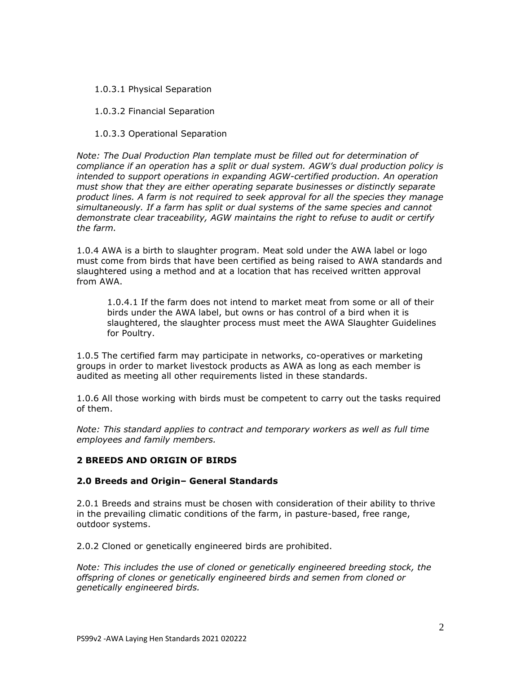1.0.3.1 Physical Separation

1.0.3.2 Financial Separation

1.0.3.3 Operational Separation

*Note: The Dual Production Plan template must be filled out for determination of compliance if an operation has a split or dual system. AGW's dual production policy is intended to support operations in expanding AGW-certified production. An operation must show that they are either operating separate businesses or distinctly separate product lines. A farm is not required to seek approval for all the species they manage simultaneously. If a farm has split or dual systems of the same species and cannot demonstrate clear traceability, AGW maintains the right to refuse to audit or certify the farm.*

1.0.4 AWA is a birth to slaughter program. Meat sold under the AWA label or logo must come from birds that have been certified as being raised to AWA standards and slaughtered using a method and at a location that has received written approval from AWA.

1.0.4.1 If the farm does not intend to market meat from some or all of their birds under the AWA label, but owns or has control of a bird when it is slaughtered, the slaughter process must meet the AWA Slaughter Guidelines for Poultry.

1.0.5 The certified farm may participate in networks, co-operatives or marketing groups in order to market livestock products as AWA as long as each member is audited as meeting all other requirements listed in these standards.

1.0.6 All those working with birds must be competent to carry out the tasks required of them.

*Note: This standard applies to contract and temporary workers as well as full time employees and family members.*

# **2 BREEDS AND ORIGIN OF BIRDS**

### **2.0 Breeds and Origin– General Standards**

2.0.1 Breeds and strains must be chosen with consideration of their ability to thrive in the prevailing climatic conditions of the farm, in pasture-based, free range, outdoor systems.

2.0.2 Cloned or genetically engineered birds are prohibited.

*Note: This includes the use of cloned or genetically engineered breeding stock, the offspring of clones or genetically engineered birds and semen from cloned or genetically engineered birds.*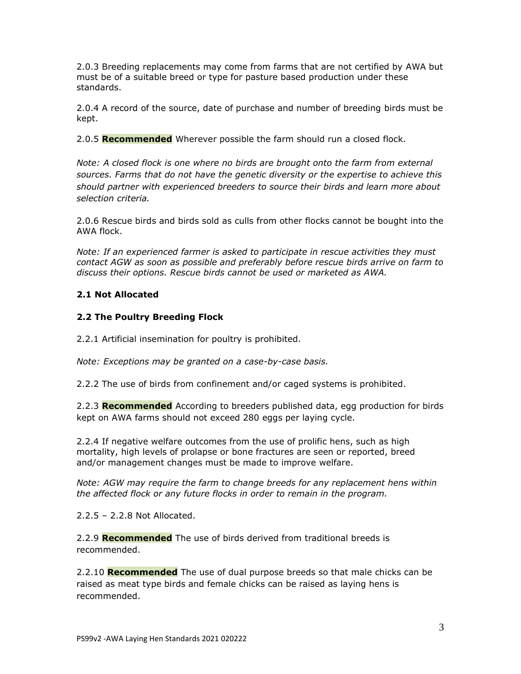2.0.3 Breeding replacements may come from farms that are not certified by AWA but must be of a suitable breed or type for pasture based production under these standards.

2.0.4 A record of the source, date of purchase and number of breeding birds must be kept.

2.0.5 **Recommended** Wherever possible the farm should run a closed flock.

*Note: A closed flock is one where no birds are brought onto the farm from external sources. Farms that do not have the genetic diversity or the expertise to achieve this should partner with experienced breeders to source their birds and learn more about selection criteria.* 

2.0.6 Rescue birds and birds sold as culls from other flocks cannot be bought into the AWA flock.

*Note: If an experienced farmer is asked to participate in rescue activities they must contact AGW as soon as possible and preferably before rescue birds arrive on farm to discuss their options. Rescue birds cannot be used or marketed as AWA.* 

# **2.1 Not Allocated**

## **2.2 The Poultry Breeding Flock**

2.2.1 Artificial insemination for poultry is prohibited.

*Note: Exceptions may be granted on a case-by-case basis.*

2.2.2 The use of birds from confinement and/or caged systems is prohibited.

2.2.3 **Recommended** According to breeders published data, egg production for birds kept on AWA farms should not exceed 280 eggs per laying cycle.

2.2.4 If negative welfare outcomes from the use of prolific hens, such as high mortality, high levels of prolapse or bone fractures are seen or reported, breed and/or management changes must be made to improve welfare.

*Note: AGW may require the farm to change breeds for any replacement hens within the affected flock or any future flocks in order to remain in the program.*

2.2.5 – 2.2.8 Not Allocated.

2.2.9 **Recommended** The use of birds derived from traditional breeds is recommended.

2.2.10 **Recommended** The use of dual purpose breeds so that male chicks can be raised as meat type birds and female chicks can be raised as laying hens is recommended.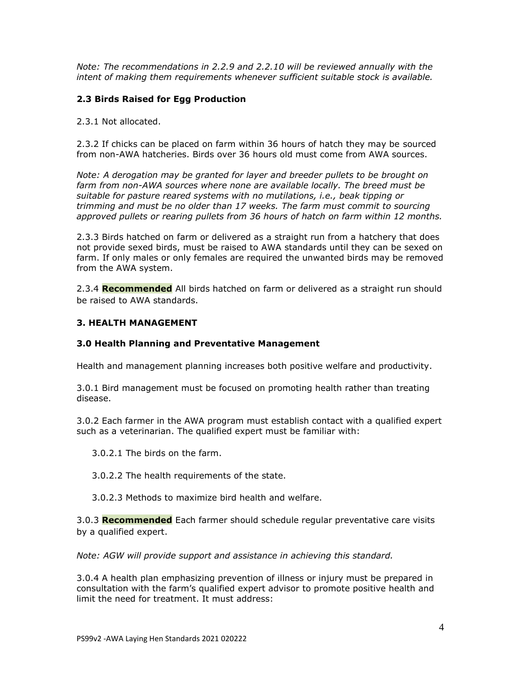*Note: The recommendations in 2.2.9 and 2.2.10 will be reviewed annually with the intent of making them requirements whenever sufficient suitable stock is available.*

## **2.3 Birds Raised for Egg Production**

2.3.1 Not allocated.

2.3.2 If chicks can be placed on farm within 36 hours of hatch they may be sourced from non-AWA hatcheries. Birds over 36 hours old must come from AWA sources.

*Note: A derogation may be granted for layer and breeder pullets to be brought on* farm from non-AWA sources where none are available locally. The breed must be *suitable for pasture reared systems with no mutilations, i.e., beak tipping or trimming and must be no older than 17 weeks. The farm must commit to sourcing approved pullets or rearing pullets from 36 hours of hatch on farm within 12 months.*

2.3.3 Birds hatched on farm or delivered as a straight run from a hatchery that does not provide sexed birds, must be raised to AWA standards until they can be sexed on farm. If only males or only females are required the unwanted birds may be removed from the AWA system.

2.3.4 **Recommended** All birds hatched on farm or delivered as a straight run should be raised to AWA standards.

### **3. HEALTH MANAGEMENT**

### **3.0 Health Planning and Preventative Management**

Health and management planning increases both positive welfare and productivity.

3.0.1 Bird management must be focused on promoting health rather than treating disease.

3.0.2 Each farmer in the AWA program must establish contact with a qualified expert such as a veterinarian. The qualified expert must be familiar with:

3.0.2.1 The birds on the farm.

3.0.2.2 The health requirements of the state.

3.0.2.3 Methods to maximize bird health and welfare.

3.0.3 **Recommended** Each farmer should schedule regular preventative care visits by a qualified expert.

*Note: AGW will provide support and assistance in achieving this standard.* 

3.0.4 A health plan emphasizing prevention of illness or injury must be prepared in consultation with the farm's qualified expert advisor to promote positive health and limit the need for treatment. It must address: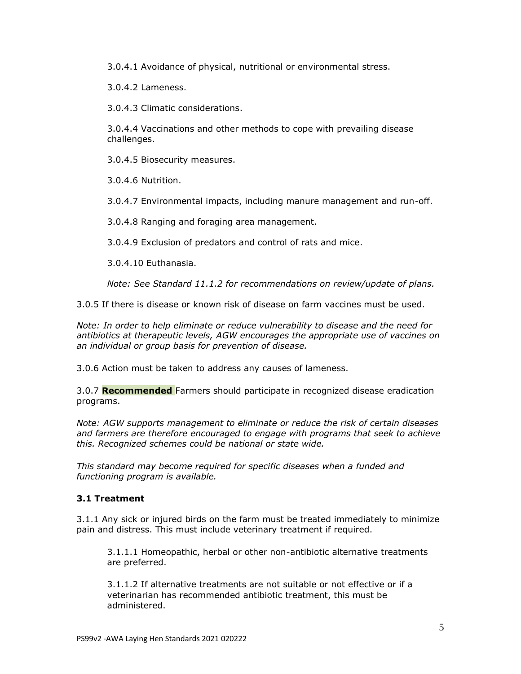3.0.4.1 Avoidance of physical, nutritional or environmental stress.

3.0.4.2 Lameness.

3.0.4.3 Climatic considerations.

3.0.4.4 Vaccinations and other methods to cope with prevailing disease challenges.

3.0.4.5 Biosecurity measures.

3.0.4.6 Nutrition.

3.0.4.7 Environmental impacts, including manure management and run-off.

3.0.4.8 Ranging and foraging area management.

3.0.4.9 Exclusion of predators and control of rats and mice.

3.0.4.10 Euthanasia.

*Note: See Standard 11.1.2 for recommendations on review/update of plans.*

3.0.5 If there is disease or known risk of disease on farm vaccines must be used.

*Note: In order to help eliminate or reduce vulnerability to disease and the need for antibiotics at therapeutic levels, AGW encourages the appropriate use of vaccines on an individual or group basis for prevention of disease.* 

3.0.6 Action must be taken to address any causes of lameness.

3.0.7 **Recommended** Farmers should participate in recognized disease eradication programs.

*Note: AGW supports management to eliminate or reduce the risk of certain diseases and farmers are therefore encouraged to engage with programs that seek to achieve this. Recognized schemes could be national or state wide.*

*This standard may become required for specific diseases when a funded and functioning program is available.*

# **3.1 Treatment**

3.1.1 Any sick or injured birds on the farm must be treated immediately to minimize pain and distress. This must include veterinary treatment if required.

3.1.1.1 Homeopathic, herbal or other non-antibiotic alternative treatments are preferred.

3.1.1.2 If alternative treatments are not suitable or not effective or if a veterinarian has recommended antibiotic treatment, this must be administered.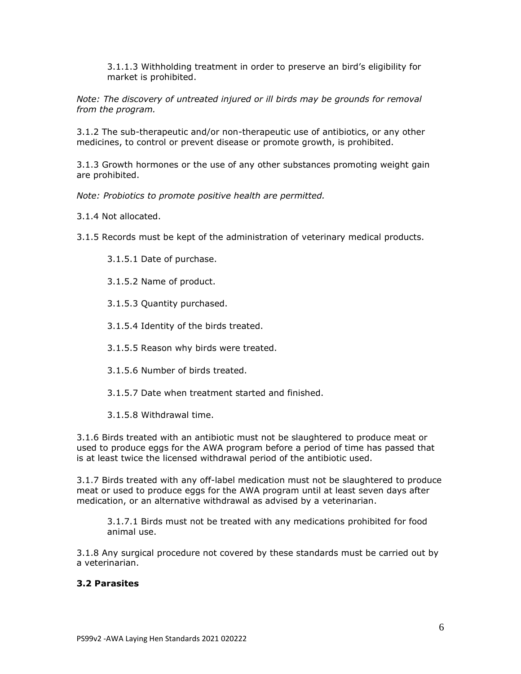3.1.1.3 Withholding treatment in order to preserve an bird's eligibility for market is prohibited.

*Note: The discovery of untreated injured or ill birds may be grounds for removal from the program.*

3.1.2 The sub-therapeutic and/or non-therapeutic use of antibiotics, or any other medicines, to control or prevent disease or promote growth, is prohibited.

3.1.3 Growth hormones or the use of any other substances promoting weight gain are prohibited.

*Note: Probiotics to promote positive health are permitted.*

3.1.4 Not allocated.

3.1.5 Records must be kept of the administration of veterinary medical products.

3.1.5.1 Date of purchase.

3.1.5.2 Name of product.

3.1.5.3 Quantity purchased.

3.1.5.4 Identity of the birds treated.

3.1.5.5 Reason why birds were treated.

3.1.5.6 Number of birds treated.

3.1.5.7 Date when treatment started and finished.

3.1.5.8 Withdrawal time.

3.1.6 Birds treated with an antibiotic must not be slaughtered to produce meat or used to produce eggs for the AWA program before a period of time has passed that is at least twice the licensed withdrawal period of the antibiotic used.

3.1.7 Birds treated with any off-label medication must not be slaughtered to produce meat or used to produce eggs for the AWA program until at least seven days after medication, or an alternative withdrawal as advised by a veterinarian.

3.1.7.1 Birds must not be treated with any medications prohibited for food animal use.

3.1.8 Any surgical procedure not covered by these standards must be carried out by a veterinarian.

### **3.2 Parasites**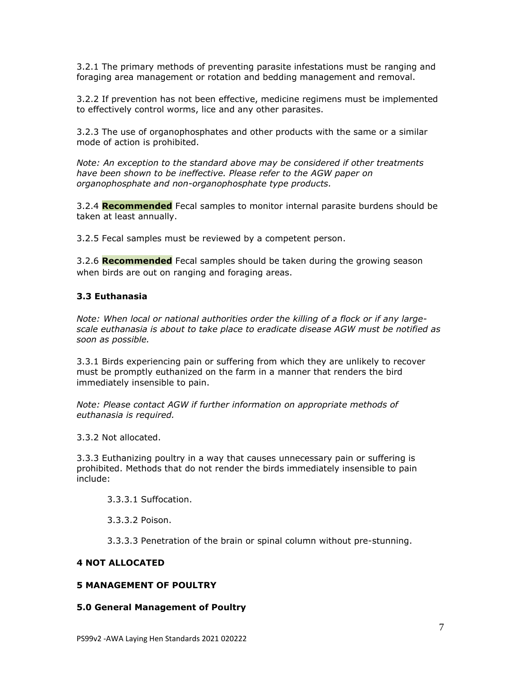3.2.1 The primary methods of preventing parasite infestations must be ranging and foraging area management or rotation and bedding management and removal.

3.2.2 If prevention has not been effective, medicine regimens must be implemented to effectively control worms, lice and any other parasites.

3.2.3 The use of organophosphates and other products with the same or a similar mode of action is prohibited.

*Note: An exception to the standard above may be considered if other treatments have been shown to be ineffective. Please refer to the AGW paper on organophosphate and non-organophosphate type products.*

3.2.4 **Recommended** Fecal samples to monitor internal parasite burdens should be taken at least annually.

3.2.5 Fecal samples must be reviewed by a competent person.

3.2.6 **Recommended** Fecal samples should be taken during the growing season when birds are out on ranging and foraging areas.

### **3.3 Euthanasia**

*Note: When local or national authorities order the killing of a flock or if any largescale euthanasia is about to take place to eradicate disease AGW must be notified as soon as possible.* 

3.3.1 Birds experiencing pain or suffering from which they are unlikely to recover must be promptly euthanized on the farm in a manner that renders the bird immediately insensible to pain.

*Note: Please contact AGW if further information on appropriate methods of euthanasia is required.*

3.3.2 Not allocated.

3.3.3 Euthanizing poultry in a way that causes unnecessary pain or suffering is prohibited. Methods that do not render the birds immediately insensible to pain include:

3.3.3.1 Suffocation.

3.3.3.2 Poison.

3.3.3.3 Penetration of the brain or spinal column without pre-stunning.

#### **4 NOT ALLOCATED**

# **5 MANAGEMENT OF POULTRY**

#### **5.0 General Management of Poultry**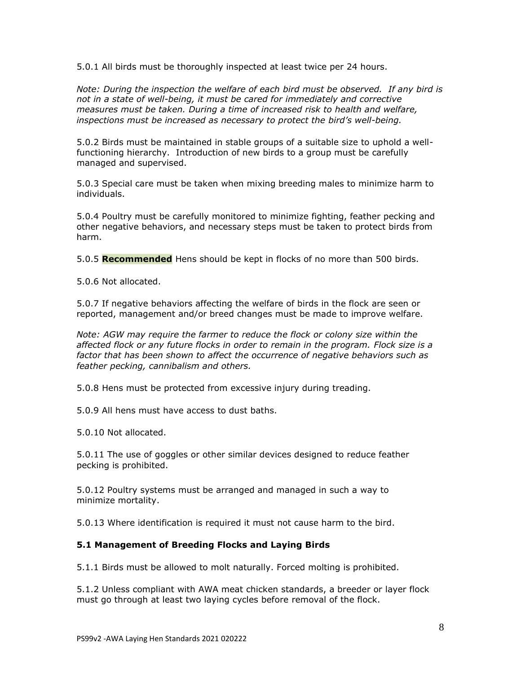5.0.1 All birds must be thoroughly inspected at least twice per 24 hours.

*Note: During the inspection the welfare of each bird must be observed. If any bird is not in a state of well-being, it must be cared for immediately and corrective measures must be taken. During a time of increased risk to health and welfare, inspections must be increased as necessary to protect the bird's well-being.*

5.0.2 Birds must be maintained in stable groups of a suitable size to uphold a wellfunctioning hierarchy. Introduction of new birds to a group must be carefully managed and supervised.

5.0.3 Special care must be taken when mixing breeding males to minimize harm to individuals.

5.0.4 Poultry must be carefully monitored to minimize fighting, feather pecking and other negative behaviors, and necessary steps must be taken to protect birds from harm.

5.0.5 **Recommended** Hens should be kept in flocks of no more than 500 birds.

5.0.6 Not allocated.

5.0.7 If negative behaviors affecting the welfare of birds in the flock are seen or reported, management and/or breed changes must be made to improve welfare.

*Note: AGW may require the farmer to reduce the flock or colony size within the affected flock or any future flocks in order to remain in the program. Flock size is a factor that has been shown to affect the occurrence of negative behaviors such as feather pecking, cannibalism and others.*

5.0.8 Hens must be protected from excessive injury during treading.

5.0.9 All hens must have access to dust baths.

5.0.10 Not allocated.

5.0.11 The use of goggles or other similar devices designed to reduce feather pecking is prohibited.

5.0.12 Poultry systems must be arranged and managed in such a way to minimize mortality.

5.0.13 Where identification is required it must not cause harm to the bird.

### **5.1 Management of Breeding Flocks and Laying Birds**

5.1.1 Birds must be allowed to molt naturally. Forced molting is prohibited.

5.1.2 Unless compliant with AWA meat chicken standards, a breeder or layer flock must go through at least two laying cycles before removal of the flock.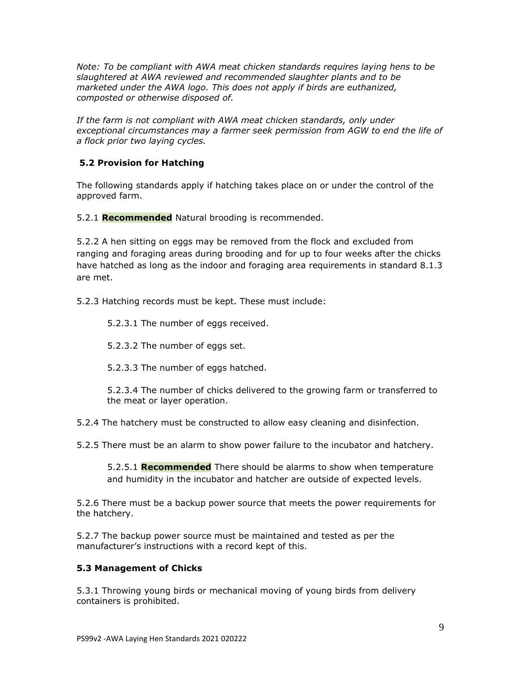*Note: To be compliant with AWA meat chicken standards requires laying hens to be slaughtered at AWA reviewed and recommended slaughter plants and to be marketed under the AWA logo. This does not apply if birds are euthanized, composted or otherwise disposed of.* 

If the farm is not compliant with AWA meat chicken standards, only under *exceptional circumstances may a farmer seek permission from AGW to end the life of a flock prior two laying cycles.* 

# **5.2 Provision for Hatching**

The following standards apply if hatching takes place on or under the control of the approved farm.

5.2.1 **Recommended** Natural brooding is recommended.

5.2.2 A hen sitting on eggs may be removed from the flock and excluded from ranging and foraging areas during brooding and for up to four weeks after the chicks have hatched as long as the indoor and foraging area requirements in standard 8.1.3 are met.

5.2.3 Hatching records must be kept. These must include:

5.2.3.1 The number of eggs received.

5.2.3.2 The number of eggs set.

5.2.3.3 The number of eggs hatched.

5.2.3.4 The number of chicks delivered to the growing farm or transferred to the meat or layer operation.

5.2.4 The hatchery must be constructed to allow easy cleaning and disinfection.

5.2.5 There must be an alarm to show power failure to the incubator and hatchery.

5.2.5.1 **Recommended** There should be alarms to show when temperature and humidity in the incubator and hatcher are outside of expected levels.

5.2.6 There must be a backup power source that meets the power requirements for the hatchery.

5.2.7 The backup power source must be maintained and tested as per the manufacturer's instructions with a record kept of this.

### **5.3 Management of Chicks**

5.3.1 Throwing young birds or mechanical moving of young birds from delivery containers is prohibited.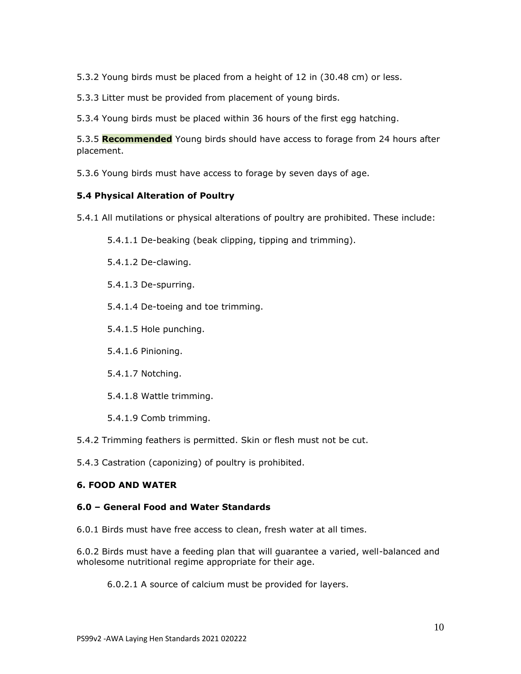5.3.2 Young birds must be placed from a height of 12 in (30.48 cm) or less.

5.3.3 Litter must be provided from placement of young birds.

5.3.4 Young birds must be placed within 36 hours of the first egg hatching.

5.3.5 **Recommended** Young birds should have access to forage from 24 hours after placement.

5.3.6 Young birds must have access to forage by seven days of age.

## **5.4 Physical Alteration of Poultry**

5.4.1 All mutilations or physical alterations of poultry are prohibited. These include:

5.4.1.1 De-beaking (beak clipping, tipping and trimming).

5.4.1.2 De-clawing.

5.4.1.3 De-spurring.

5.4.1.4 De-toeing and toe trimming.

5.4.1.5 Hole punching.

5.4.1.6 Pinioning.

5.4.1.7 Notching.

5.4.1.8 Wattle trimming.

5.4.1.9 Comb trimming.

5.4.2 Trimming feathers is permitted. Skin or flesh must not be cut.

5.4.3 Castration (caponizing) of poultry is prohibited.

# **6. FOOD AND WATER**

### **6.0 – General Food and Water Standards**

6.0.1 Birds must have free access to clean, fresh water at all times.

6.0.2 Birds must have a feeding plan that will guarantee a varied, well-balanced and wholesome nutritional regime appropriate for their age.

6.0.2.1 A source of calcium must be provided for layers.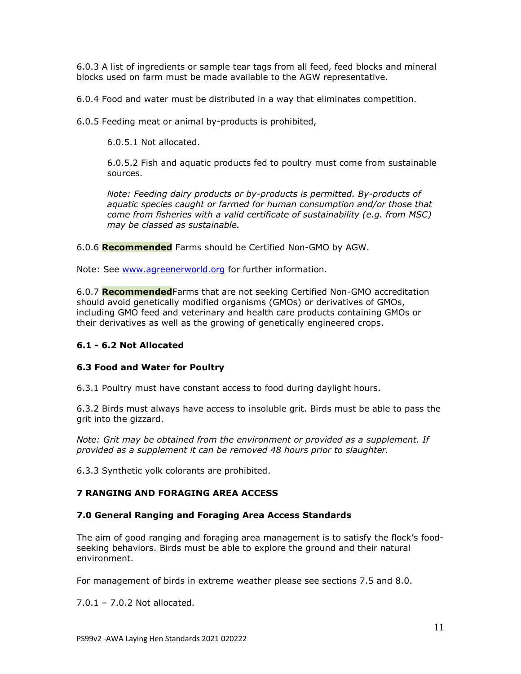6.0.3 A list of ingredients or sample tear tags from all feed, feed blocks and mineral blocks used on farm must be made available to the AGW representative.

6.0.4 Food and water must be distributed in a way that eliminates competition.

6.0.5 Feeding meat or animal by-products is prohibited,

6.0.5.1 Not allocated.

6.0.5.2 Fish and aquatic products fed to poultry must come from sustainable sources.

*Note: Feeding dairy products or by-products is permitted. By-products of aquatic species caught or farmed for human consumption and/or those that come from fisheries with a valid certificate of sustainability (e.g. from MSC) may be classed as sustainable.*

6.0.6 **Recommended** Farms should be Certified Non-GMO by AGW.

Note: See [www.agreenerworld.org](http://www.agreenerworld.org/) for further information.

6.0.7 **Recommended**Farms that are not seeking Certified Non-GMO accreditation should avoid genetically modified organisms (GMOs) or derivatives of GMOs, including GMO feed and veterinary and health care products containing GMOs or their derivatives as well as the growing of genetically engineered crops.

# **6.1 - 6.2 Not Allocated**

# **6.3 Food and Water for Poultry**

6.3.1 Poultry must have constant access to food during daylight hours.

6.3.2 Birds must always have access to insoluble grit. Birds must be able to pass the grit into the gizzard.

*Note: Grit may be obtained from the environment or provided as a supplement. If provided as a supplement it can be removed 48 hours prior to slaughter.*

6.3.3 Synthetic yolk colorants are prohibited.

# **7 RANGING AND FORAGING AREA ACCESS**

### **7.0 General Ranging and Foraging Area Access Standards**

The aim of good ranging and foraging area management is to satisfy the flock's foodseeking behaviors. Birds must be able to explore the ground and their natural environment.

For management of birds in extreme weather please see sections 7.5 and 8.0.

7.0.1 – 7.0.2 Not allocated.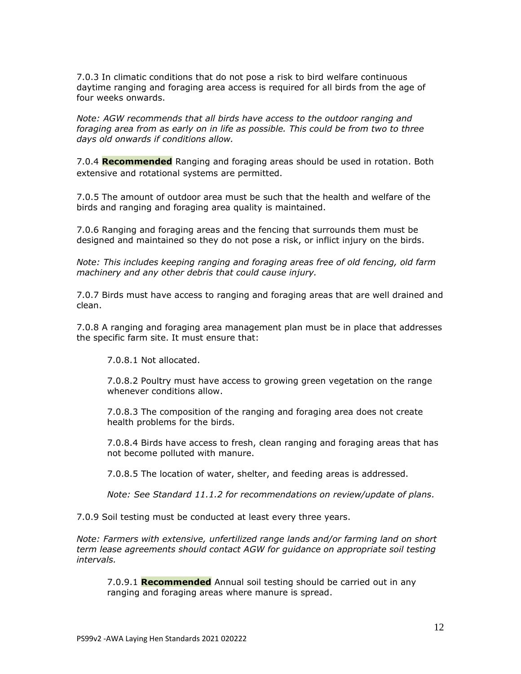7.0.3 In climatic conditions that do not pose a risk to bird welfare continuous daytime ranging and foraging area access is required for all birds from the age of four weeks onwards.

*Note: AGW recommends that all birds have access to the outdoor ranging and foraging area from as early on in life as possible. This could be from two to three days old onwards if conditions allow.*

7.0.4 **Recommended** Ranging and foraging areas should be used in rotation. Both extensive and rotational systems are permitted.

7.0.5 The amount of outdoor area must be such that the health and welfare of the birds and ranging and foraging area quality is maintained.

7.0.6 Ranging and foraging areas and the fencing that surrounds them must be designed and maintained so they do not pose a risk, or inflict injury on the birds.

*Note: This includes keeping ranging and foraging areas free of old fencing, old farm machinery and any other debris that could cause injury.* 

7.0.7 Birds must have access to ranging and foraging areas that are well drained and clean.

7.0.8 A ranging and foraging area management plan must be in place that addresses the specific farm site. It must ensure that:

7.0.8.1 Not allocated.

7.0.8.2 Poultry must have access to growing green vegetation on the range whenever conditions allow.

7.0.8.3 The composition of the ranging and foraging area does not create health problems for the birds.

7.0.8.4 Birds have access to fresh, clean ranging and foraging areas that has not become polluted with manure.

7.0.8.5 The location of water, shelter, and feeding areas is addressed.

*Note: See Standard 11.1.2 for recommendations on review/update of plans.*

7.0.9 Soil testing must be conducted at least every three years.

*Note: Farmers with extensive, unfertilized range lands and/or farming land on short term lease agreements should contact AGW for guidance on appropriate soil testing intervals.* 

7.0.9.1 **Recommended** Annual soil testing should be carried out in any ranging and foraging areas where manure is spread.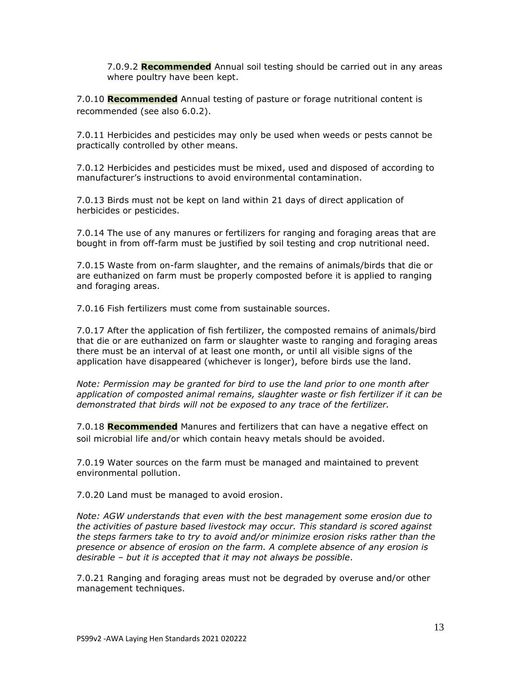7.0.9.2 **Recommended** Annual soil testing should be carried out in any areas where poultry have been kept.

7.0.10 **Recommended** Annual testing of pasture or forage nutritional content is recommended (see also 6.0.2).

7.0.11 Herbicides and pesticides may only be used when weeds or pests cannot be practically controlled by other means.

7.0.12 Herbicides and pesticides must be mixed, used and disposed of according to manufacturer's instructions to avoid environmental contamination.

7.0.13 Birds must not be kept on land within 21 days of direct application of herbicides or pesticides.

7.0.14 The use of any manures or fertilizers for ranging and foraging areas that are bought in from off-farm must be justified by soil testing and crop nutritional need.

7.0.15 Waste from on-farm slaughter, and the remains of animals/birds that die or are euthanized on farm must be properly composted before it is applied to ranging and foraging areas.

7.0.16 Fish fertilizers must come from sustainable sources.

7.0.17 After the application of fish fertilizer, the composted remains of animals/bird that die or are euthanized on farm or slaughter waste to ranging and foraging areas there must be an interval of at least one month, or until all visible signs of the application have disappeared (whichever is longer), before birds use the land.

*Note: Permission may be granted for bird to use the land prior to one month after application of composted animal remains, slaughter waste or fish fertilizer if it can be demonstrated that birds will not be exposed to any trace of the fertilizer.*

7.0.18 **Recommended** Manures and fertilizers that can have a negative effect on soil microbial life and/or which contain heavy metals should be avoided.

7.0.19 Water sources on the farm must be managed and maintained to prevent environmental pollution.

7.0.20 Land must be managed to avoid erosion.

*Note: AGW understands that even with the best management some erosion due to the activities of pasture based livestock may occur. This standard is scored against the steps farmers take to try to avoid and/or minimize erosion risks rather than the presence or absence of erosion on the farm. A complete absence of any erosion is desirable – but it is accepted that it may not always be possible*.

7.0.21 Ranging and foraging areas must not be degraded by overuse and/or other management techniques.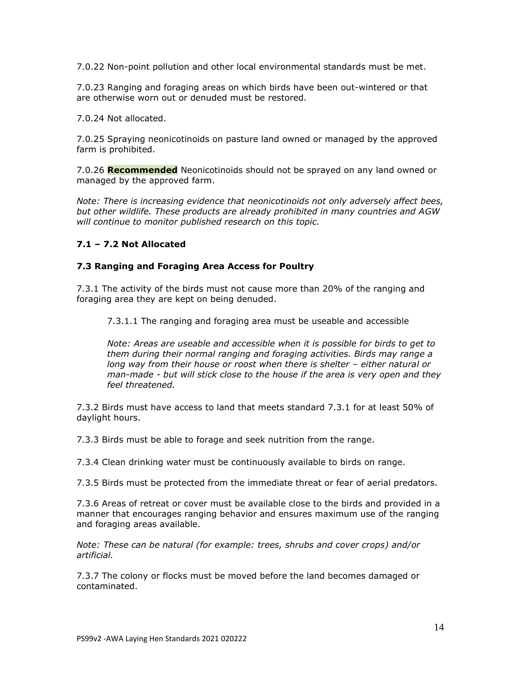7.0.22 Non-point pollution and other local environmental standards must be met.

7.0.23 Ranging and foraging areas on which birds have been out-wintered or that are otherwise worn out or denuded must be restored.

7.0.24 Not allocated.

7.0.25 Spraying neonicotinoids on pasture land owned or managed by the approved farm is prohibited.

7.0.26 **Recommended** Neonicotinoids should not be sprayed on any land owned or managed by the approved farm.

*Note: There is increasing evidence that neonicotinoids not only adversely affect bees, but other wildlife. These products are already prohibited in many countries and AGW will continue to monitor published research on this topic.*

## **7.1 – 7.2 Not Allocated**

### **7.3 Ranging and Foraging Area Access for Poultry**

7.3.1 The activity of the birds must not cause more than 20% of the ranging and foraging area they are kept on being denuded.

7.3.1.1 The ranging and foraging area must be useable and accessible

*Note: Areas are useable and accessible when it is possible for birds to get to them during their normal ranging and foraging activities. Birds may range a long way from their house or roost when there is shelter - either natural or man-made - but will stick close to the house if the area is very open and they feel threatened.*

7.3.2 Birds must have access to land that meets standard 7.3.1 for at least 50% of daylight hours.

7.3.3 Birds must be able to forage and seek nutrition from the range.

7.3.4 Clean drinking water must be continuously available to birds on range.

7.3.5 Birds must be protected from the immediate threat or fear of aerial predators.

7.3.6 Areas of retreat or cover must be available close to the birds and provided in a manner that encourages ranging behavior and ensures maximum use of the ranging and foraging areas available.

*Note: These can be natural (for example: trees, shrubs and cover crops) and/or artificial.* 

7.3.7 The colony or flocks must be moved before the land becomes damaged or contaminated.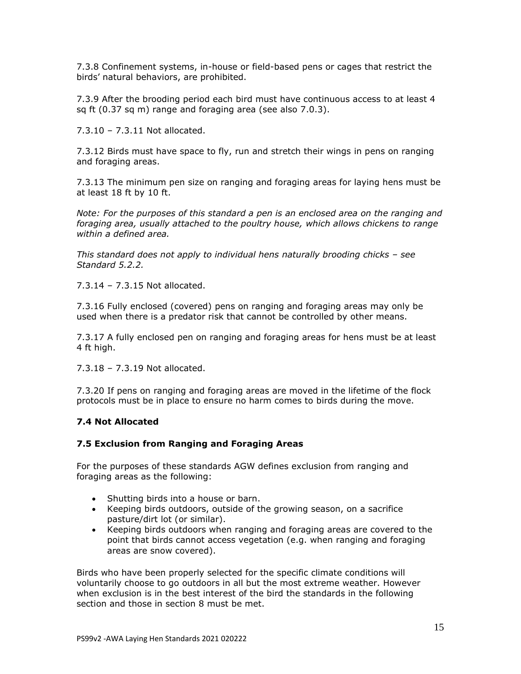7.3.8 Confinement systems, in-house or field-based pens or cages that restrict the birds' natural behaviors, are prohibited.

7.3.9 After the brooding period each bird must have continuous access to at least 4 sq ft (0.37 sq m) range and foraging area (see also 7.0.3).

7.3.10 – 7.3.11 Not allocated.

7.3.12 Birds must have space to fly, run and stretch their wings in pens on ranging and foraging areas.

7.3.13 The minimum pen size on ranging and foraging areas for laying hens must be at least 18 ft by 10 ft.

*Note: For the purposes of this standard a pen is an enclosed area on the ranging and foraging area, usually attached to the poultry house, which allows chickens to range within a defined area.* 

*This standard does not apply to individual hens naturally brooding chicks – see Standard 5.2.2.*

7.3.14 – 7.3.15 Not allocated.

7.3.16 Fully enclosed (covered) pens on ranging and foraging areas may only be used when there is a predator risk that cannot be controlled by other means.

7.3.17 A fully enclosed pen on ranging and foraging areas for hens must be at least 4 ft high.

7.3.18 – 7.3.19 Not allocated.

7.3.20 If pens on ranging and foraging areas are moved in the lifetime of the flock protocols must be in place to ensure no harm comes to birds during the move.

### **7.4 Not Allocated**

#### **7.5 Exclusion from Ranging and Foraging Areas**

For the purposes of these standards AGW defines exclusion from ranging and foraging areas as the following:

- Shutting birds into a house or barn.
- Keeping birds outdoors, outside of the growing season, on a sacrifice pasture/dirt lot (or similar).
- Keeping birds outdoors when ranging and foraging areas are covered to the point that birds cannot access vegetation (e.g. when ranging and foraging areas are snow covered).

Birds who have been properly selected for the specific climate conditions will voluntarily choose to go outdoors in all but the most extreme weather. However when exclusion is in the best interest of the bird the standards in the following section and those in section 8 must be met.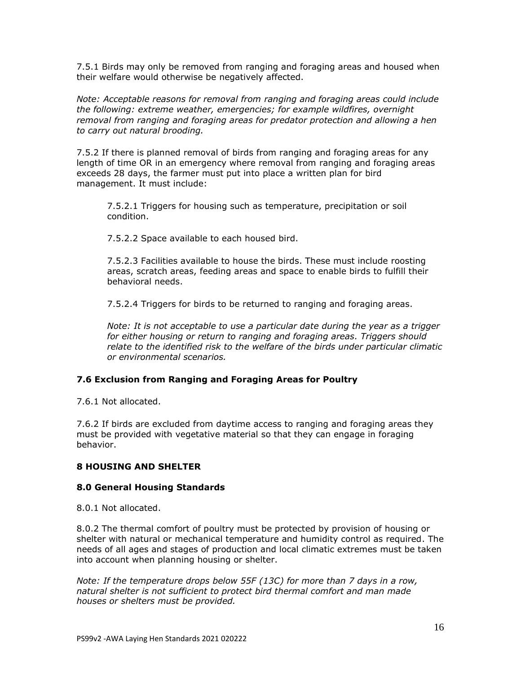7.5.1 Birds may only be removed from ranging and foraging areas and housed when their welfare would otherwise be negatively affected.

*Note: Acceptable reasons for removal from ranging and foraging areas could include the following: extreme weather, emergencies; for example wildfires, overnight removal from ranging and foraging areas for predator protection and allowing a hen to carry out natural brooding.*

7.5.2 If there is planned removal of birds from ranging and foraging areas for any length of time OR in an emergency where removal from ranging and foraging areas exceeds 28 days, the farmer must put into place a written plan for bird management. It must include:

7.5.2.1 Triggers for housing such as temperature, precipitation or soil condition.

7.5.2.2 Space available to each housed bird.

7.5.2.3 Facilities available to house the birds. These must include roosting areas, scratch areas, feeding areas and space to enable birds to fulfill their behavioral needs.

7.5.2.4 Triggers for birds to be returned to ranging and foraging areas.

*Note: It is not acceptable to use a particular date during the year as a trigger for either housing or return to ranging and foraging areas. Triggers should relate to the identified risk to the welfare of the birds under particular climatic or environmental scenarios.*

### **7.6 Exclusion from Ranging and Foraging Areas for Poultry**

7.6.1 Not allocated.

7.6.2 If birds are excluded from daytime access to ranging and foraging areas they must be provided with vegetative material so that they can engage in foraging behavior.

#### **8 HOUSING AND SHELTER**

#### **8.0 General Housing Standards**

8.0.1 Not allocated.

8.0.2 The thermal comfort of poultry must be protected by provision of housing or shelter with natural or mechanical temperature and humidity control as required. The needs of all ages and stages of production and local climatic extremes must be taken into account when planning housing or shelter.

*Note: If the temperature drops below 55F (13C) for more than 7 days in a row, natural shelter is not sufficient to protect bird thermal comfort and man made houses or shelters must be provided.*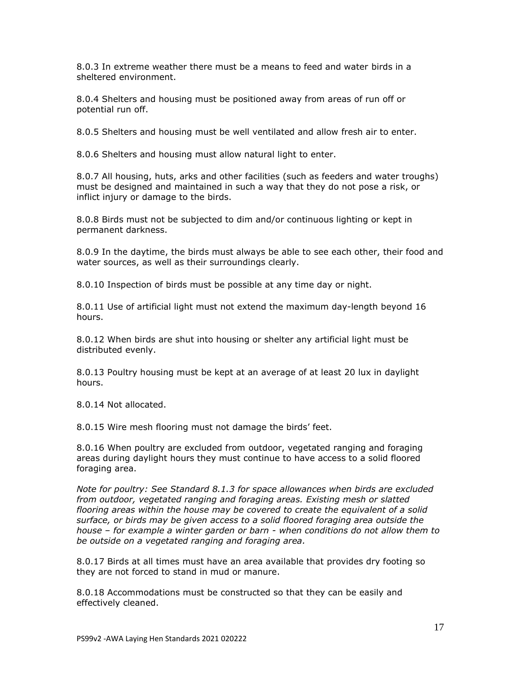8.0.3 In extreme weather there must be a means to feed and water birds in a sheltered environment.

8.0.4 Shelters and housing must be positioned away from areas of run off or potential run off.

8.0.5 Shelters and housing must be well ventilated and allow fresh air to enter.

8.0.6 Shelters and housing must allow natural light to enter.

8.0.7 All housing, huts, arks and other facilities (such as feeders and water troughs) must be designed and maintained in such a way that they do not pose a risk, or inflict injury or damage to the birds.

8.0.8 Birds must not be subjected to dim and/or continuous lighting or kept in permanent darkness.

8.0.9 In the daytime, the birds must always be able to see each other, their food and water sources, as well as their surroundings clearly.

8.0.10 Inspection of birds must be possible at any time day or night.

8.0.11 Use of artificial light must not extend the maximum day-length beyond 16 hours.

8.0.12 When birds are shut into housing or shelter any artificial light must be distributed evenly.

8.0.13 Poultry housing must be kept at an average of at least 20 lux in daylight hours.

8.0.14 Not allocated.

8.0.15 Wire mesh flooring must not damage the birds' feet.

8.0.16 When poultry are excluded from outdoor, vegetated ranging and foraging areas during daylight hours they must continue to have access to a solid floored foraging area.

*Note for poultry: See Standard 8.1.3 for space allowances when birds are excluded from outdoor, vegetated ranging and foraging areas. Existing mesh or slatted flooring areas within the house may be covered to create the equivalent of a solid surface, or birds may be given access to a solid floored foraging area outside the house – for example a winter garden or barn - when conditions do not allow them to be outside on a vegetated ranging and foraging area.*

8.0.17 Birds at all times must have an area available that provides dry footing so they are not forced to stand in mud or manure.

8.0.18 Accommodations must be constructed so that they can be easily and effectively cleaned.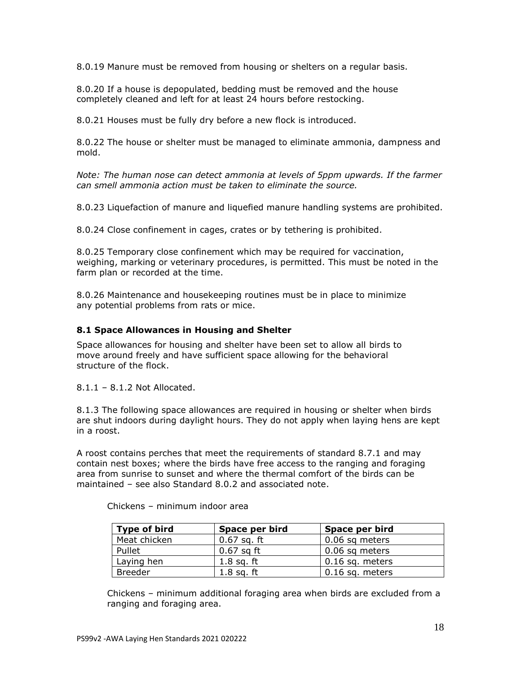8.0.19 Manure must be removed from housing or shelters on a regular basis.

8.0.20 If a house is depopulated, bedding must be removed and the house completely cleaned and left for at least 24 hours before restocking.

8.0.21 Houses must be fully dry before a new flock is introduced.

8.0.22 The house or shelter must be managed to eliminate ammonia, dampness and mold.

*Note: The human nose can detect ammonia at levels of 5ppm upwards. If the farmer can smell ammonia action must be taken to eliminate the source.*

8.0.23 Liquefaction of manure and liquefied manure handling systems are prohibited.

8.0.24 Close confinement in cages, crates or by tethering is prohibited.

8.0.25 Temporary close confinement which may be required for vaccination, weighing, marking or veterinary procedures, is permitted. This must be noted in the farm plan or recorded at the time.

8.0.26 Maintenance and housekeeping routines must be in place to minimize any potential problems from rats or mice.

### **8.1 Space Allowances in Housing and Shelter**

Space allowances for housing and shelter have been set to allow all birds to move around freely and have sufficient space allowing for the behavioral structure of the flock.

8.1.1 – 8.1.2 Not Allocated.

8.1.3 The following space allowances are required in housing or shelter when birds are shut indoors during daylight hours. They do not apply when laying hens are kept in a roost.

A roost contains perches that meet the requirements of standard 8.7.1 and may contain nest boxes; where the birds have free access to the ranging and foraging area from sunrise to sunset and where the thermal comfort of the birds can be maintained – see also Standard 8.0.2 and associated note.

| Type of bird   | Space per bird | Space per bird    |  |
|----------------|----------------|-------------------|--|
| Meat chicken   | $0.67$ sq. ft  | 0.06 sq meters    |  |
| Pullet         | $0.67$ sq ft   | $0.06$ sq meters  |  |
| Laying hen     | $1.8$ sq. ft   | $0.16$ sq. meters |  |
| <b>Breeder</b> | $1.8$ sq. ft   | 0.16 sq. meters   |  |

Chickens – minimum indoor area

Chickens – minimum additional foraging area when birds are excluded from a ranging and foraging area.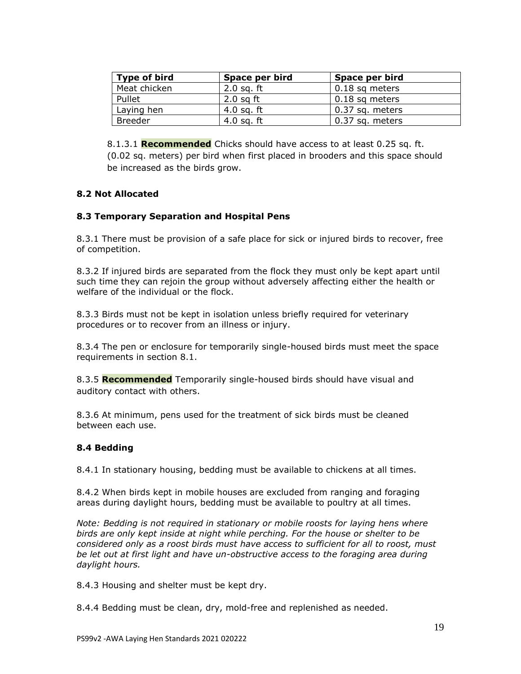| Type of bird   | Space per bird<br>Space per bird |                        |
|----------------|----------------------------------|------------------------|
| Meat chicken   | $2.0$ sq. ft                     | $0.18$ sq meters       |
| Pullet         | $2.0$ sq ft                      | $\vert$ 0.18 sq meters |
| Laying hen     | 4.0 sq. ft                       | 0.37 sq. meters        |
| <b>Breeder</b> | $4.0$ sq. ft                     | 0.37 sq. meters        |

8.1.3.1 **Recommended** Chicks should have access to at least 0.25 sq. ft. (0.02 sq. meters) per bird when first placed in brooders and this space should be increased as the birds grow.

## **8.2 Not Allocated**

### **8.3 Temporary Separation and Hospital Pens**

8.3.1 There must be provision of a safe place for sick or injured birds to recover, free of competition.

8.3.2 If injured birds are separated from the flock they must only be kept apart until such time they can rejoin the group without adversely affecting either the health or welfare of the individual or the flock.

8.3.3 Birds must not be kept in isolation unless briefly required for veterinary procedures or to recover from an illness or injury.

8.3.4 The pen or enclosure for temporarily single-housed birds must meet the space requirements in section 8.1.

8.3.5 **Recommended** Temporarily single-housed birds should have visual and auditory contact with others.

8.3.6 At minimum, pens used for the treatment of sick birds must be cleaned between each use.

# **8.4 Bedding**

8.4.1 In stationary housing, bedding must be available to chickens at all times.

8.4.2 When birds kept in mobile houses are excluded from ranging and foraging areas during daylight hours, bedding must be available to poultry at all times.

*Note: Bedding is not required in stationary or mobile roosts for laying hens where birds are only kept inside at night while perching. For the house or shelter to be considered only as a roost birds must have access to sufficient for all to roost, must*  be let out at first light and have un-obstructive access to the foraging area during *daylight hours.*

8.4.3 Housing and shelter must be kept dry.

8.4.4 Bedding must be clean, dry, mold-free and replenished as needed.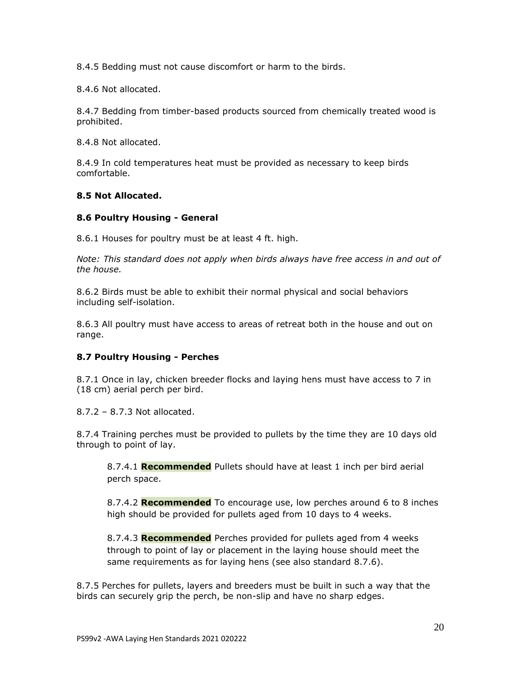8.4.5 Bedding must not cause discomfort or harm to the birds.

8.4.6 Not allocated.

8.4.7 Bedding from timber-based products sourced from chemically treated wood is prohibited.

8.4.8 Not allocated.

8.4.9 In cold temperatures heat must be provided as necessary to keep birds comfortable.

#### **8.5 Not Allocated.**

#### **8.6 Poultry Housing - General**

8.6.1 Houses for poultry must be at least 4 ft. high.

*Note: This standard does not apply when birds always have free access in and out of the house.*

8.6.2 Birds must be able to exhibit their normal physical and social behaviors including self-isolation.

8.6.3 All poultry must have access to areas of retreat both in the house and out on range.

### **8.7 Poultry Housing - Perches**

8.7.1 Once in lay, chicken breeder flocks and laying hens must have access to 7 in (18 cm) aerial perch per bird.

8.7.2 – 8.7.3 Not allocated.

8.7.4 Training perches must be provided to pullets by the time they are 10 days old through to point of lay.

8.7.4.1 **Recommended** Pullets should have at least 1 inch per bird aerial perch space.

8.7.4.2 **Recommended** To encourage use, low perches around 6 to 8 inches high should be provided for pullets aged from 10 days to 4 weeks.

8.7.4.3 **Recommended** Perches provided for pullets aged from 4 weeks through to point of lay or placement in the laying house should meet the same requirements as for laying hens (see also standard 8.7.6).

8.7.5 Perches for pullets, layers and breeders must be built in such a way that the birds can securely grip the perch, be non-slip and have no sharp edges.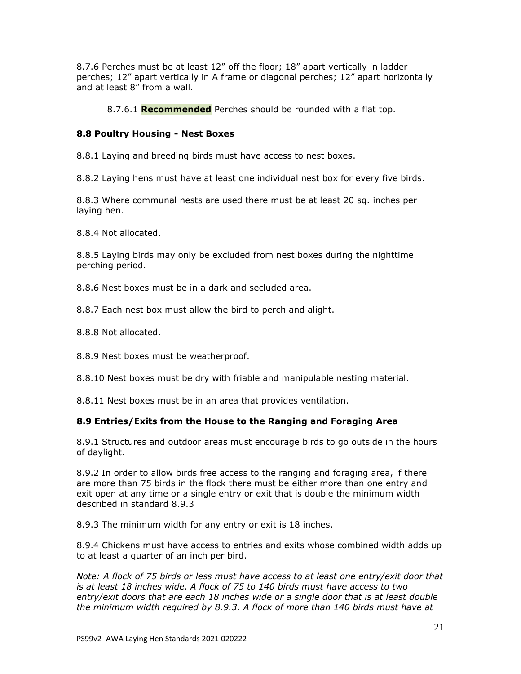8.7.6 Perches must be at least 12" off the floor; 18" apart vertically in ladder perches; 12" apart vertically in A frame or diagonal perches; 12" apart horizontally and at least 8" from a wall.

8.7.6.1 **Recommended** Perches should be rounded with a flat top.

## **8.8 Poultry Housing - Nest Boxes**

8.8.1 Laying and breeding birds must have access to nest boxes.

8.8.2 Laying hens must have at least one individual nest box for every five birds.

8.8.3 Where communal nests are used there must be at least 20 sq. inches per laying hen.

8.8.4 Not allocated.

8.8.5 Laying birds may only be excluded from nest boxes during the nighttime perching period.

8.8.6 Nest boxes must be in a dark and secluded area.

8.8.7 Each nest box must allow the bird to perch and alight.

8.8.8 Not allocated.

8.8.9 Nest boxes must be weatherproof.

8.8.10 Nest boxes must be dry with friable and manipulable nesting material.

8.8.11 Nest boxes must be in an area that provides ventilation.

### **8.9 Entries/Exits from the House to the Ranging and Foraging Area**

8.9.1 Structures and outdoor areas must encourage birds to go outside in the hours of daylight.

8.9.2 In order to allow birds free access to the ranging and foraging area, if there are more than 75 birds in the flock there must be either more than one entry and exit open at any time or a single entry or exit that is double the minimum width described in standard 8.9.3

8.9.3 The minimum width for any entry or exit is 18 inches.

8.9.4 Chickens must have access to entries and exits whose combined width adds up to at least a quarter of an inch per bird.

*Note: A flock of 75 birds or less must have access to at least one entry/exit door that is at least 18 inches wide. A flock of 75 to 140 birds must have access to two entry/exit doors that are each 18 inches wide or a single door that is at least double the minimum width required by 8.9.3. A flock of more than 140 birds must have at*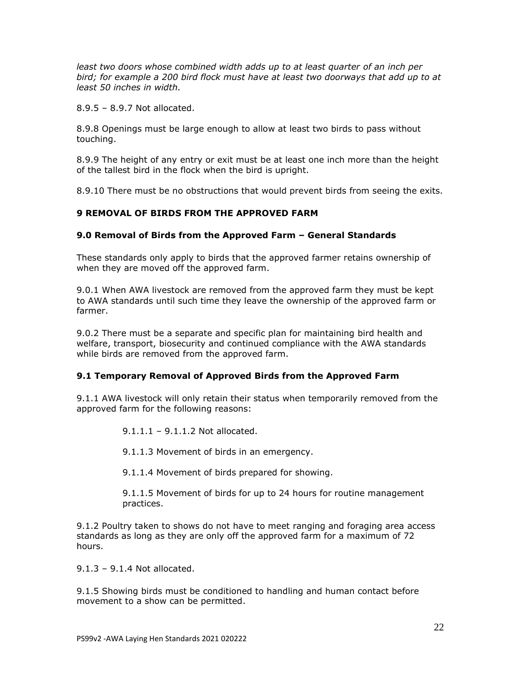*least two doors whose combined width adds up to at least quarter of an inch per bird; for example a 200 bird flock must have at least two doorways that add up to at least 50 inches in width.*

8.9.5 – 8.9.7 Not allocated.

8.9.8 Openings must be large enough to allow at least two birds to pass without touching.

8.9.9 The height of any entry or exit must be at least one inch more than the height of the tallest bird in the flock when the bird is upright.

8.9.10 There must be no obstructions that would prevent birds from seeing the exits.

### **9 REMOVAL OF BIRDS FROM THE APPROVED FARM**

#### **9.0 Removal of Birds from the Approved Farm – General Standards**

These standards only apply to birds that the approved farmer retains ownership of when they are moved off the approved farm.

9.0.1 When AWA livestock are removed from the approved farm they must be kept to AWA standards until such time they leave the ownership of the approved farm or farmer.

9.0.2 There must be a separate and specific plan for maintaining bird health and welfare, transport, biosecurity and continued compliance with the AWA standards while birds are removed from the approved farm.

### **9.1 Temporary Removal of Approved Birds from the Approved Farm**

9.1.1 AWA livestock will only retain their status when temporarily removed from the approved farm for the following reasons:

9.1.1.1 – 9.1.1.2 Not allocated.

9.1.1.3 Movement of birds in an emergency.

9.1.1.4 Movement of birds prepared for showing.

9.1.1.5 Movement of birds for up to 24 hours for routine management practices.

9.1.2 Poultry taken to shows do not have to meet ranging and foraging area access standards as long as they are only off the approved farm for a maximum of 72 hours.

9.1.3 – 9.1.4 Not allocated.

9.1.5 Showing birds must be conditioned to handling and human contact before movement to a show can be permitted.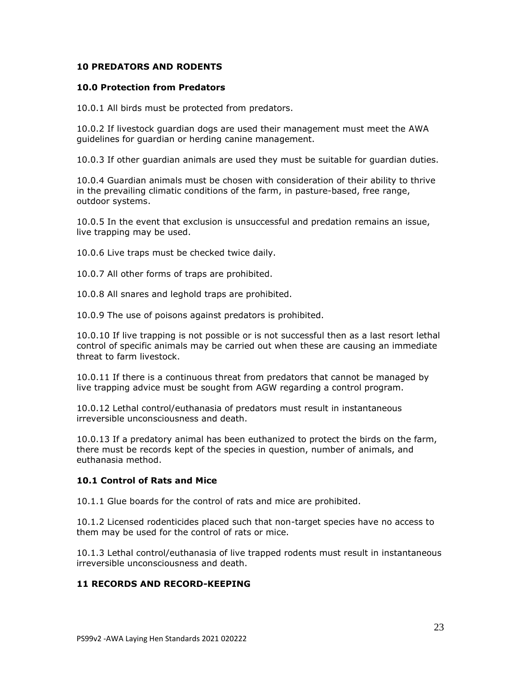### **10 PREDATORS AND RODENTS**

#### **10.0 Protection from Predators**

10.0.1 All birds must be protected from predators.

10.0.2 If livestock guardian dogs are used their management must meet the AWA guidelines for guardian or herding canine management.

10.0.3 If other guardian animals are used they must be suitable for guardian duties.

10.0.4 Guardian animals must be chosen with consideration of their ability to thrive in the prevailing climatic conditions of the farm, in pasture-based, free range, outdoor systems.

10.0.5 In the event that exclusion is unsuccessful and predation remains an issue, live trapping may be used.

10.0.6 Live traps must be checked twice daily.

10.0.7 All other forms of traps are prohibited.

10.0.8 All snares and leghold traps are prohibited.

10.0.9 The use of poisons against predators is prohibited.

10.0.10 If live trapping is not possible or is not successful then as a last resort lethal control of specific animals may be carried out when these are causing an immediate threat to farm livestock.

10.0.11 If there is a continuous threat from predators that cannot be managed by live trapping advice must be sought from AGW regarding a control program.

10.0.12 Lethal control/euthanasia of predators must result in instantaneous irreversible unconsciousness and death.

10.0.13 If a predatory animal has been euthanized to protect the birds on the farm, there must be records kept of the species in question, number of animals, and euthanasia method.

### **10.1 Control of Rats and Mice**

10.1.1 Glue boards for the control of rats and mice are prohibited.

10.1.2 Licensed rodenticides placed such that non-target species have no access to them may be used for the control of rats or mice.

10.1.3 Lethal control/euthanasia of live trapped rodents must result in instantaneous irreversible unconsciousness and death.

### **11 RECORDS AND RECORD-KEEPING**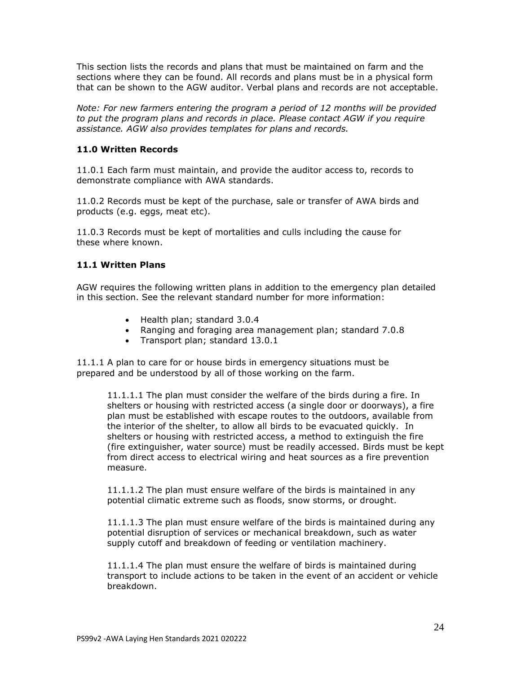This section lists the records and plans that must be maintained on farm and the sections where they can be found. All records and plans must be in a physical form that can be shown to the AGW auditor. Verbal plans and records are not acceptable.

*Note: For new farmers entering the program a period of 12 months will be provided to put the program plans and records in place. Please contact AGW if you require assistance. AGW also provides templates for plans and records.*

## **11.0 Written Records**

11.0.1 Each farm must maintain, and provide the auditor access to, records to demonstrate compliance with AWA standards.

11.0.2 Records must be kept of the purchase, sale or transfer of AWA birds and products (e.g. eggs, meat etc).

11.0.3 Records must be kept of mortalities and culls including the cause for these where known.

### **11.1 Written Plans**

AGW requires the following written plans in addition to the emergency plan detailed in this section. See the relevant standard number for more information:

- Health plan; standard 3.0.4
- Ranging and foraging area management plan; standard 7.0.8
- Transport plan; standard 13.0.1

11.1.1 A plan to care for or house birds in emergency situations must be prepared and be understood by all of those working on the farm.

11.1.1.1 The plan must consider the welfare of the birds during a fire. In shelters or housing with restricted access (a single door or doorways), a fire plan must be established with escape routes to the outdoors, available from the interior of the shelter, to allow all birds to be evacuated quickly. In shelters or housing with restricted access, a method to extinguish the fire (fire extinguisher, water source) must be readily accessed. Birds must be kept from direct access to electrical wiring and heat sources as a fire prevention measure.

11.1.1.2 The plan must ensure welfare of the birds is maintained in any potential climatic extreme such as floods, snow storms, or drought.

11.1.1.3 The plan must ensure welfare of the birds is maintained during any potential disruption of services or mechanical breakdown, such as water supply cutoff and breakdown of feeding or ventilation machinery.

11.1.1.4 The plan must ensure the welfare of birds is maintained during transport to include actions to be taken in the event of an accident or vehicle breakdown.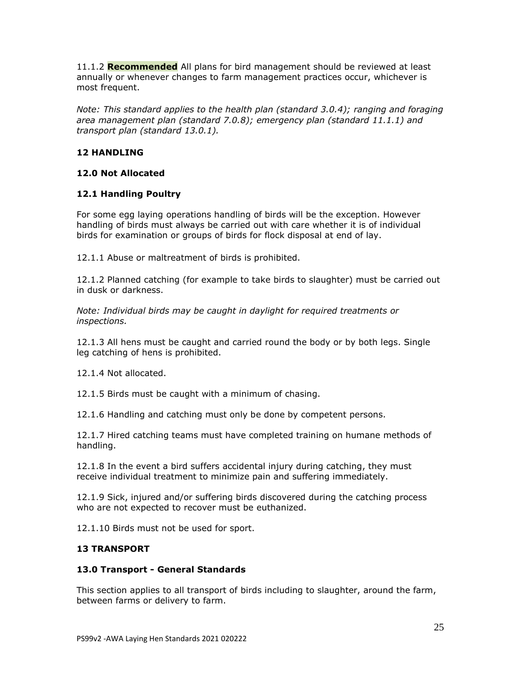11.1.2 **Recommended** All plans for bird management should be reviewed at least annually or whenever changes to farm management practices occur, whichever is most frequent.

*Note: This standard applies to the health plan (standard 3.0.4); ranging and foraging area management plan (standard 7.0.8); emergency plan (standard 11.1.1) and transport plan (standard 13.0.1).*

## **12 HANDLING**

## **12.0 Not Allocated**

## **12.1 Handling Poultry**

For some egg laying operations handling of birds will be the exception. However handling of birds must always be carried out with care whether it is of individual birds for examination or groups of birds for flock disposal at end of lay.

12.1.1 Abuse or maltreatment of birds is prohibited.

12.1.2 Planned catching (for example to take birds to slaughter) must be carried out in dusk or darkness.

*Note: Individual birds may be caught in daylight for required treatments or inspections.*

12.1.3 All hens must be caught and carried round the body or by both legs. Single leg catching of hens is prohibited.

12.1.4 Not allocated.

12.1.5 Birds must be caught with a minimum of chasing.

12.1.6 Handling and catching must only be done by competent persons.

12.1.7 Hired catching teams must have completed training on humane methods of handling.

12.1.8 In the event a bird suffers accidental injury during catching, they must receive individual treatment to minimize pain and suffering immediately.

12.1.9 Sick, injured and/or suffering birds discovered during the catching process who are not expected to recover must be euthanized.

12.1.10 Birds must not be used for sport.

### **13 TRANSPORT**

### **13.0 Transport - General Standards**

This section applies to all transport of birds including to slaughter, around the farm, between farms or delivery to farm.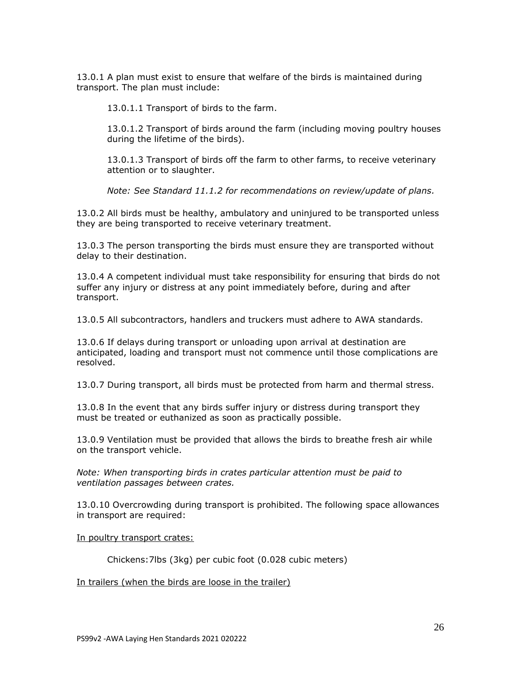13.0.1 A plan must exist to ensure that welfare of the birds is maintained during transport. The plan must include:

13.0.1.1 Transport of birds to the farm.

13.0.1.2 Transport of birds around the farm (including moving poultry houses during the lifetime of the birds).

13.0.1.3 Transport of birds off the farm to other farms, to receive veterinary attention or to slaughter.

*Note: See Standard 11.1.2 for recommendations on review/update of plans.*

13.0.2 All birds must be healthy, ambulatory and uninjured to be transported unless they are being transported to receive veterinary treatment.

13.0.3 The person transporting the birds must ensure they are transported without delay to their destination.

13.0.4 A competent individual must take responsibility for ensuring that birds do not suffer any injury or distress at any point immediately before, during and after transport.

13.0.5 All subcontractors, handlers and truckers must adhere to AWA standards.

13.0.6 If delays during transport or unloading upon arrival at destination are anticipated, loading and transport must not commence until those complications are resolved.

13.0.7 During transport, all birds must be protected from harm and thermal stress.

13.0.8 In the event that any birds suffer injury or distress during transport they must be treated or euthanized as soon as practically possible.

13.0.9 Ventilation must be provided that allows the birds to breathe fresh air while on the transport vehicle.

*Note: When transporting birds in crates particular attention must be paid to ventilation passages between crates.*

13.0.10 Overcrowding during transport is prohibited. The following space allowances in transport are required:

In poultry transport crates:

Chickens:7lbs (3kg) per cubic foot (0.028 cubic meters)

In trailers (when the birds are loose in the trailer)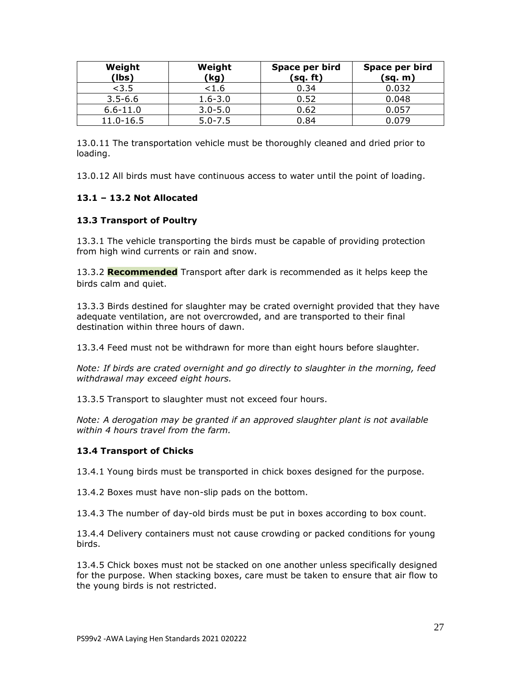| Weight<br>(lbs) | Weight<br>(kg) | Space per bird<br>(sq. ft) | Space per bird<br>(sq. m) |
|-----------------|----------------|----------------------------|---------------------------|
| < 3.5           | <1.6           | 0.34                       | 0.032                     |
| $3.5 - 6.6$     | $1.6 - 3.0$    | 0.52                       | 0.048                     |
| $6.6 - 11.0$    | $3.0 - 5.0$    | 0.62                       | 0.057                     |
| 11.0-16.5       | $5.0 - 7.5$    | 0.84                       | 0.079                     |

13.0.11 The transportation vehicle must be thoroughly cleaned and dried prior to loading.

13.0.12 All birds must have continuous access to water until the point of loading.

## **13.1 – 13.2 Not Allocated**

## **13.3 Transport of Poultry**

13.3.1 The vehicle transporting the birds must be capable of providing protection from high wind currents or rain and snow.

13.3.2 **Recommended** Transport after dark is recommended as it helps keep the birds calm and quiet.

13.3.3 Birds destined for slaughter may be crated overnight provided that they have adequate ventilation, are not overcrowded, and are transported to their final destination within three hours of dawn.

13.3.4 Feed must not be withdrawn for more than eight hours before slaughter.

*Note: If birds are crated overnight and go directly to slaughter in the morning, feed withdrawal may exceed eight hours.*

13.3.5 Transport to slaughter must not exceed four hours.

*Note: A derogation may be granted if an approved slaughter plant is not available within 4 hours travel from the farm.*

### **13.4 Transport of Chicks**

13.4.1 Young birds must be transported in chick boxes designed for the purpose.

13.4.2 Boxes must have non-slip pads on the bottom.

13.4.3 The number of day-old birds must be put in boxes according to box count.

13.4.4 Delivery containers must not cause crowding or packed conditions for young birds.

13.4.5 Chick boxes must not be stacked on one another unless specifically designed for the purpose. When stacking boxes, care must be taken to ensure that air flow to the young birds is not restricted.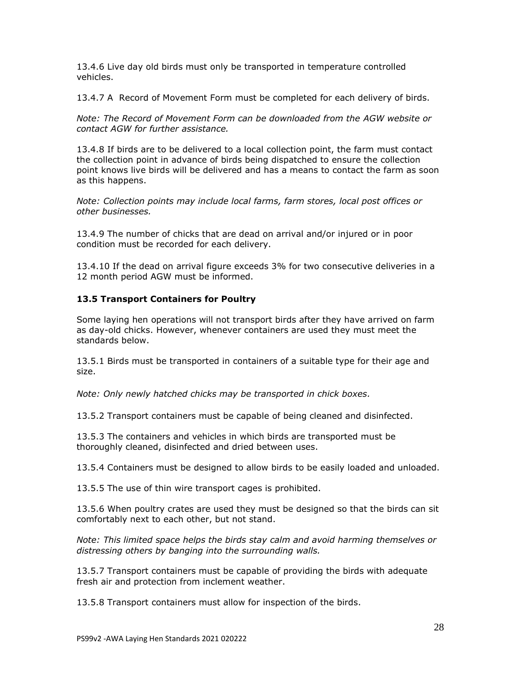13.4.6 Live day old birds must only be transported in temperature controlled vehicles.

13.4.7 A Record of Movement Form must be completed for each delivery of birds.

*Note: The Record of Movement Form can be downloaded from the AGW website or contact AGW for further assistance.*

13.4.8 If birds are to be delivered to a local collection point, the farm must contact the collection point in advance of birds being dispatched to ensure the collection point knows live birds will be delivered and has a means to contact the farm as soon as this happens.

*Note: Collection points may include local farms, farm stores, local post offices or other businesses.*

13.4.9 The number of chicks that are dead on arrival and/or injured or in poor condition must be recorded for each delivery.

13.4.10 If the dead on arrival figure exceeds 3% for two consecutive deliveries in a 12 month period AGW must be informed.

## **13.5 Transport Containers for Poultry**

Some laying hen operations will not transport birds after they have arrived on farm as day-old chicks. However, whenever containers are used they must meet the standards below.

13.5.1 Birds must be transported in containers of a suitable type for their age and size.

*Note: Only newly hatched chicks may be transported in chick boxes.*

13.5.2 Transport containers must be capable of being cleaned and disinfected.

13.5.3 The containers and vehicles in which birds are transported must be thoroughly cleaned, disinfected and dried between uses.

13.5.4 Containers must be designed to allow birds to be easily loaded and unloaded.

13.5.5 The use of thin wire transport cages is prohibited.

13.5.6 When poultry crates are used they must be designed so that the birds can sit comfortably next to each other, but not stand.

*Note: This limited space helps the birds stay calm and avoid harming themselves or distressing others by banging into the surrounding walls.* 

13.5.7 Transport containers must be capable of providing the birds with adequate fresh air and protection from inclement weather.

13.5.8 Transport containers must allow for inspection of the birds.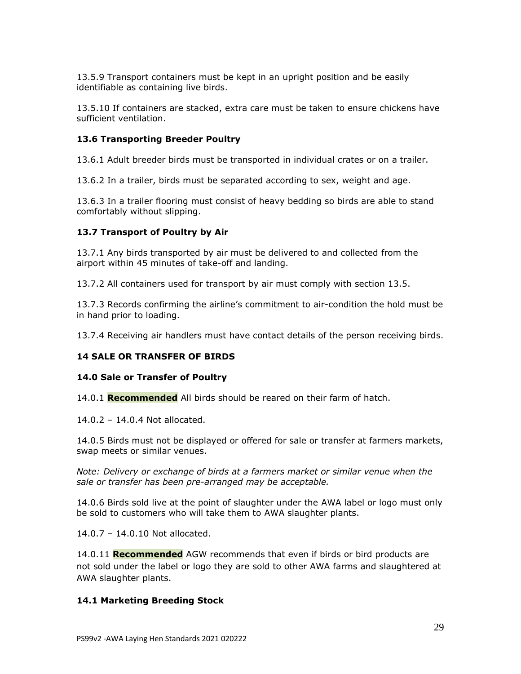13.5.9 Transport containers must be kept in an upright position and be easily identifiable as containing live birds.

13.5.10 If containers are stacked, extra care must be taken to ensure chickens have sufficient ventilation.

### **13.6 Transporting Breeder Poultry**

13.6.1 Adult breeder birds must be transported in individual crates or on a trailer.

13.6.2 In a trailer, birds must be separated according to sex, weight and age.

13.6.3 In a trailer flooring must consist of heavy bedding so birds are able to stand comfortably without slipping.

### **13.7 Transport of Poultry by Air**

13.7.1 Any birds transported by air must be delivered to and collected from the airport within 45 minutes of take-off and landing.

13.7.2 All containers used for transport by air must comply with section 13.5.

13.7.3 Records confirming the airline's commitment to air-condition the hold must be in hand prior to loading.

13.7.4 Receiving air handlers must have contact details of the person receiving birds.

### **14 SALE OR TRANSFER OF BIRDS**

#### **14.0 Sale or Transfer of Poultry**

14.0.1 **Recommended** All birds should be reared on their farm of hatch.

14.0.2 – 14.0.4 Not allocated.

14.0.5 Birds must not be displayed or offered for sale or transfer at farmers markets, swap meets or similar venues.

*Note: Delivery or exchange of birds at a farmers market or similar venue when the sale or transfer has been pre-arranged may be acceptable.* 

14.0.6 Birds sold live at the point of slaughter under the AWA label or logo must only be sold to customers who will take them to AWA slaughter plants.

14.0.7 – 14.0.10 Not allocated.

14.0.11 **Recommended** AGW recommends that even if birds or bird products are not sold under the label or logo they are sold to other AWA farms and slaughtered at AWA slaughter plants.

#### **14.1 Marketing Breeding Stock**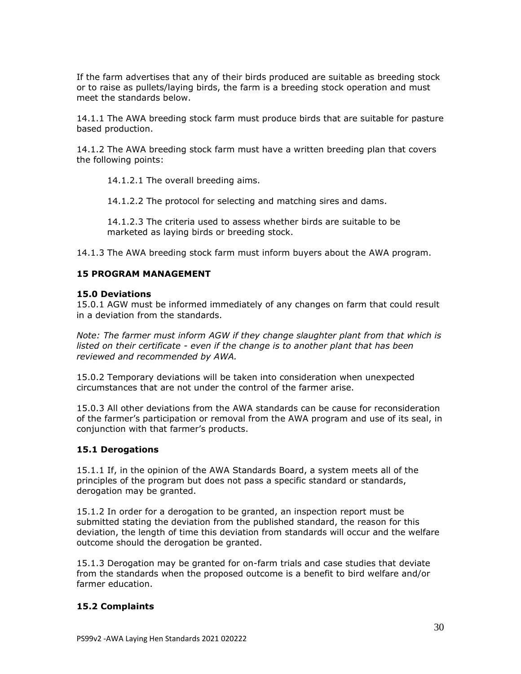If the farm advertises that any of their birds produced are suitable as breeding stock or to raise as pullets/laying birds, the farm is a breeding stock operation and must meet the standards below.

14.1.1 The AWA breeding stock farm must produce birds that are suitable for pasture based production.

14.1.2 The AWA breeding stock farm must have a written breeding plan that covers the following points:

14.1.2.1 The overall breeding aims.

14.1.2.2 The protocol for selecting and matching sires and dams.

14.1.2.3 The criteria used to assess whether birds are suitable to be marketed as laying birds or breeding stock.

14.1.3 The AWA breeding stock farm must inform buyers about the AWA program.

#### **15 PROGRAM MANAGEMENT**

#### **15.0 Deviations**

15.0.1 AGW must be informed immediately of any changes on farm that could result in a deviation from the standards.

*Note: The farmer must inform AGW if they change slaughter plant from that which is listed on their certificate - even if the change is to another plant that has been reviewed and recommended by AWA.*

15.0.2 Temporary deviations will be taken into consideration when unexpected circumstances that are not under the control of the farmer arise.

15.0.3 All other deviations from the AWA standards can be cause for reconsideration of the farmer's participation or removal from the AWA program and use of its seal, in conjunction with that farmer's products.

#### **15.1 Derogations**

15.1.1 If, in the opinion of the AWA Standards Board, a system meets all of the principles of the program but does not pass a specific standard or standards, derogation may be granted.

15.1.2 In order for a derogation to be granted, an inspection report must be submitted stating the deviation from the published standard, the reason for this deviation, the length of time this deviation from standards will occur and the welfare outcome should the derogation be granted.

15.1.3 Derogation may be granted for on-farm trials and case studies that deviate from the standards when the proposed outcome is a benefit to bird welfare and/or farmer education.

#### **15.2 Complaints**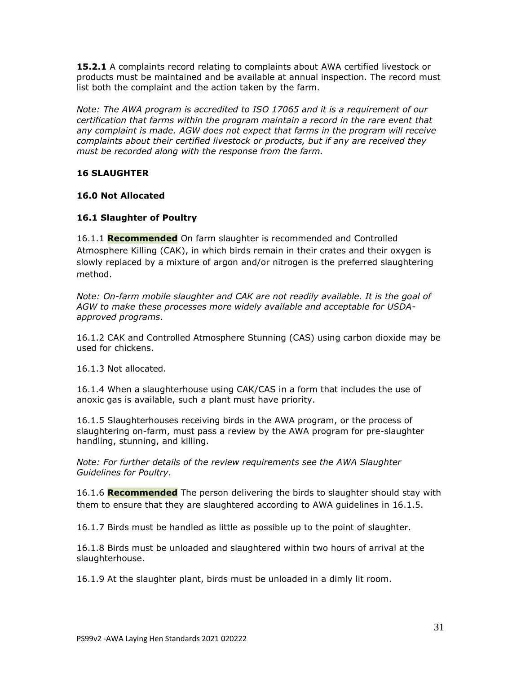**15.2.1** A complaints record relating to complaints about AWA certified livestock or products must be maintained and be available at annual inspection. The record must list both the complaint and the action taken by the farm.

*Note: The AWA program is accredited to ISO 17065 and it is a requirement of our certification that farms within the program maintain a record in the rare event that any complaint is made. AGW does not expect that farms in the program will receive complaints about their certified livestock or products, but if any are received they must be recorded along with the response from the farm.*

# **16 SLAUGHTER**

### **16.0 Not Allocated**

## **16.1 Slaughter of Poultry**

16.1.1 **Recommended** On farm slaughter is recommended and Controlled Atmosphere Killing (CAK), in which birds remain in their crates and their oxygen is slowly replaced by a mixture of argon and/or nitrogen is the preferred slaughtering method.

*Note: On-farm mobile slaughter and CAK are not readily available. It is the goal of AGW to make these processes more widely available and acceptable for USDAapproved programs*.

16.1.2 CAK and Controlled Atmosphere Stunning (CAS) using carbon dioxide may be used for chickens.

16.1.3 Not allocated.

16.1.4 When a slaughterhouse using CAK/CAS in a form that includes the use of anoxic gas is available, such a plant must have priority.

16.1.5 Slaughterhouses receiving birds in the AWA program, or the process of slaughtering on-farm, must pass a review by the AWA program for pre-slaughter handling, stunning, and killing.

*Note: For further details of the review requirements see the AWA Slaughter Guidelines for Poultry.*

16.1.6 **Recommended** The person delivering the birds to slaughter should stay with them to ensure that they are slaughtered according to AWA guidelines in 16.1.5.

16.1.7 Birds must be handled as little as possible up to the point of slaughter.

16.1.8 Birds must be unloaded and slaughtered within two hours of arrival at the slaughterhouse.

16.1.9 At the slaughter plant, birds must be unloaded in a dimly lit room.